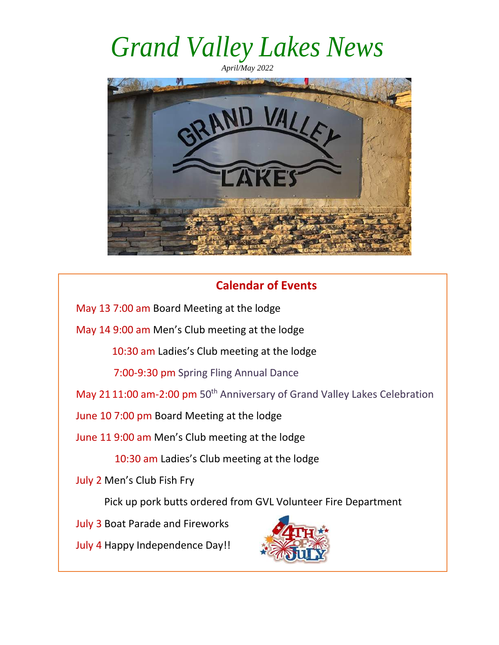*April/May 2022* 



#### **Calendar of Events**

May 13 7:00 am Board Meeting at the lodge

May 14 9:00 am Men's Club meeting at the lodge

10:30 am Ladies's Club meeting at the lodge

7:00-9:30 pm Spring Fling Annual Dance

May 21 11:00 am-2:00 pm 50<sup>th</sup> Anniversary of Grand Valley Lakes Celebration

June 10 7:00 pm Board Meeting at the lodge

June 11 9:00 am Men's Club meeting at the lodge

10:30 am Ladies's Club meeting at the lodge

July 2 Men's Club Fish Fry

Pick up pork butts ordered from GVL Volunteer Fire Department

July 3 Boat Parade and Fireworks

July 4 Happy Independence Day!!

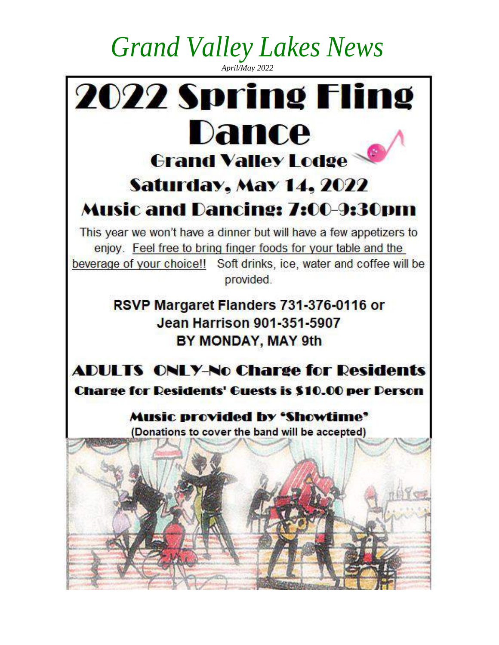*April/May 2022* 

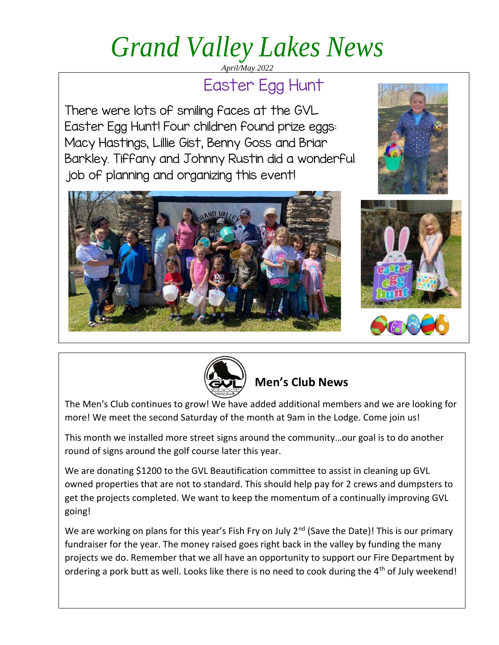*April/May 2022* 

#### Easter Egg Hunt

There were lots of smiling faces at the GVL Easter Egg Hunt! Four children found prize eggs: Macy Hastings, Lillie Gist, Benny Goss and Briar Barkley. Tiffany and Johnny Rustin did a wonderful job of planning and organizing this event!









#### **Men's Club News**

The Men's Club continues to grow! We have added additional members and we are looking for more! We meet the second Saturday of the month at 9am in the Lodge. Come join us!

This month we installed more street signs around the community…our goal is to do another round of signs around the golf course later this year.

We are donating \$1200 to the GVL Beautification committee to assist in cleaning up GVL owned properties that are not to standard. This should help pay for 2 crews and dumpsters to get the projects completed. We want to keep the momentum of a continually improving GVL going!

We are working on plans for this year's Fish Fry on July  $2^{nd}$  (Save the Date)! This is our primary fundraiser for the year. The money raised goes right back in the valley by funding the many projects we do. Remember that we all have an opportunity to support our Fire Department by ordering a pork butt as well. Looks like there is no need to cook during the 4<sup>th</sup> of July weekend!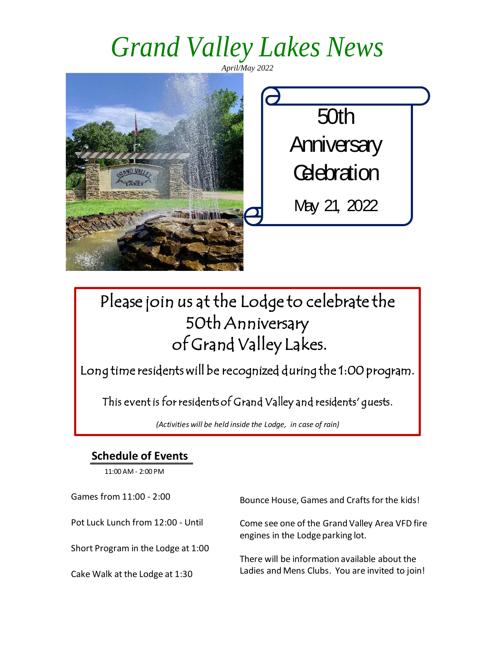*April/May 2022* 

50th **Anniversary Celebration** May 21, 2022

#### Please join us at the Lodge to celebrate the 50th Anniversary of Grand Valley Lakes.

Long time residents will be recognized during the 1:00 program.

This event is for residentsof Grand Valley and residents' guests.

*(Activities will be held inside the Lodge, in case of rain)*

#### **Schedule of Events**

11:00 AM - 2:00 PM

Games from 11:00 - 2:00 Pot Luck Lunch from 12:00 - Until Short Program in the Lodge at 1:00 Cake Walk at the Lodge at 1:30 Bounce House, Games and Crafts for the kids! Come see one of the Grand Valley Area VFD fire engines in the Lodge parking lot. There will be information available about the Ladies and Mens Clubs. You are invited to join!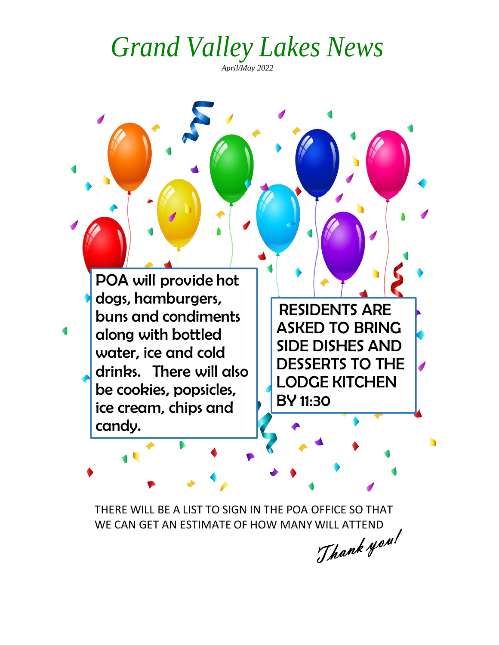*April/May 2022* 

POA will provide hot dogs, hamburgers, buns and condiments along with bottled water, ice and cold drinks. There will also be cookies, popsicles, ice cream, chips and candy.

RESIDENTS ARE ASKED TO BRING SIDE DISHES AND DESSERTS TO THE LODGE KITCHEN BY 11:30

THERE WILL BE A LIST TO SIGN IN THE POA OFFICE SO THAT WE CAN GET AN ESTIMATE OF HOW MANY WILL ATTEND<br>
WE CAN GET AN ESTIMATE OF HOW MANY WILL ATTEND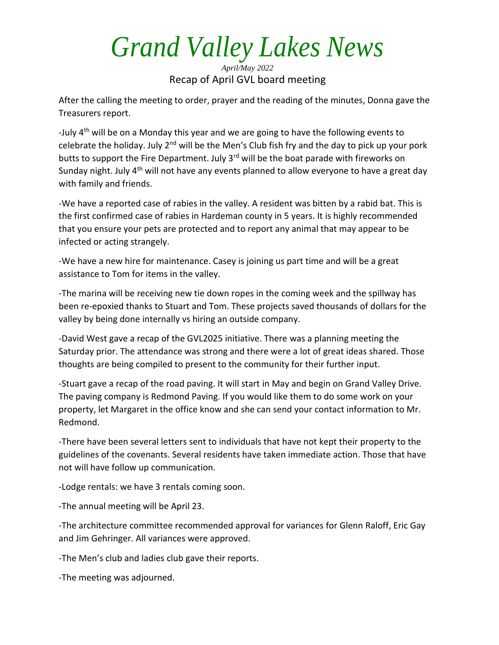*April/May 2022*  Recap of April GVL board meeting

After the calling the meeting to order, prayer and the reading of the minutes, Donna gave the Treasurers report.

-July 4<sup>th</sup> will be on a Monday this year and we are going to have the following events to celebrate the holiday. July  $2^{nd}$  will be the Men's Club fish fry and the day to pick up your pork butts to support the Fire Department. July 3<sup>rd</sup> will be the boat parade with fireworks on Sunday night. July  $4<sup>th</sup>$  will not have any events planned to allow everyone to have a great day with family and friends.

-We have a reported case of rabies in the valley. A resident was bitten by a rabid bat. This is the first confirmed case of rabies in Hardeman county in 5 years. It is highly recommended that you ensure your pets are protected and to report any animal that may appear to be infected or acting strangely.

-We have a new hire for maintenance. Casey is joining us part time and will be a great assistance to Tom for items in the valley.

-The marina will be receiving new tie down ropes in the coming week and the spillway has been re-epoxied thanks to Stuart and Tom. These projects saved thousands of dollars for the valley by being done internally vs hiring an outside company.

-David West gave a recap of the GVL2025 initiative. There was a planning meeting the Saturday prior. The attendance was strong and there were a lot of great ideas shared. Those thoughts are being compiled to present to the community for their further input.

-Stuart gave a recap of the road paving. It will start in May and begin on Grand Valley Drive. The paving company is Redmond Paving. If you would like them to do some work on your property, let Margaret in the office know and she can send your contact information to Mr. Redmond.

-There have been several letters sent to individuals that have not kept their property to the guidelines of the covenants. Several residents have taken immediate action. Those that have not will have follow up communication.

-Lodge rentals: we have 3 rentals coming soon.

-The annual meeting will be April 23.

-The architecture committee recommended approval for variances for Glenn Raloff, Eric Gay and Jim Gehringer. All variances were approved.

-The Men's club and ladies club gave their reports.

-The meeting was adjourned.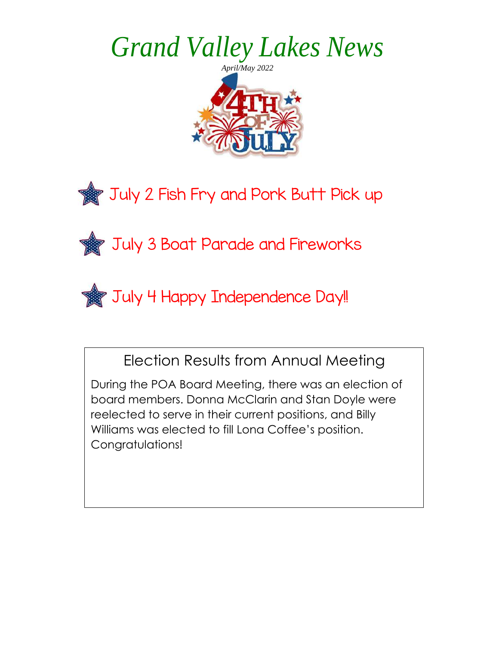



**July 3 Boat Parade and Fireworks** 



Election Results from Annual Meeting

During the POA Board Meeting, there was an election of board members. Donna McClarin and Stan Doyle were reelected to serve in their current positions, and Billy Williams was elected to fill Lona Coffee's position. Congratulations!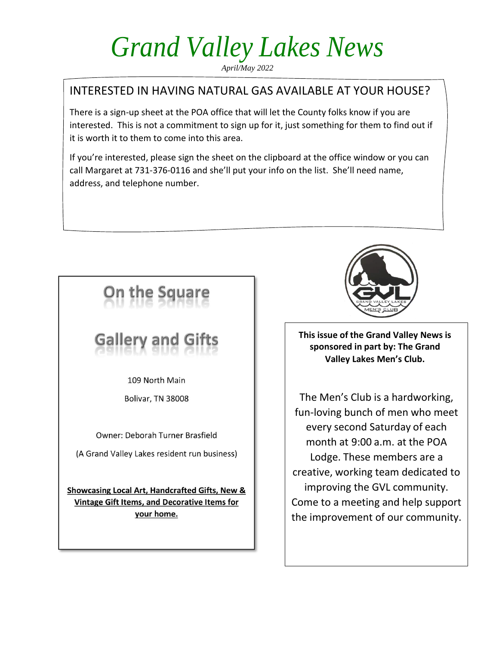*April/May 2022* 

#### INTERESTED IN HAVING NATURAL GAS AVAILABLE AT YOUR HOUSE?

There is a sign-up sheet at the POA office that will let the County folks know if you are interested. This is not a commitment to sign up for it, just something for them to find out if it is worth it to them to come into this area.

If you're interested, please sign the sheet on the clipboard at the office window or you can call Margaret at 731-376-0116 and she'll put your info on the list. She'll need name, address, and telephone number.



### Gallery and

109 North Main

Bolivar, TN 38008

Owner: Deborah Turner Brasfield

(A Grand Valley Lakes resident run business)

Showcasing Local Art, Handcrafted Gifts, New & Vintage Gift Items, and Decorative Items for your home.



**This issue of the Grand Valley News is sponsored in part by: The Grand Valley Lakes Men's Club.**

The Men's Club is a hardworking, fun-loving bunch of men who meet every second Saturday of each month at 9:00 a.m. at the POA Lodge. These members are a creative, working team dedicated to improving the GVL community. Come to a meeting and help support the improvement of our community.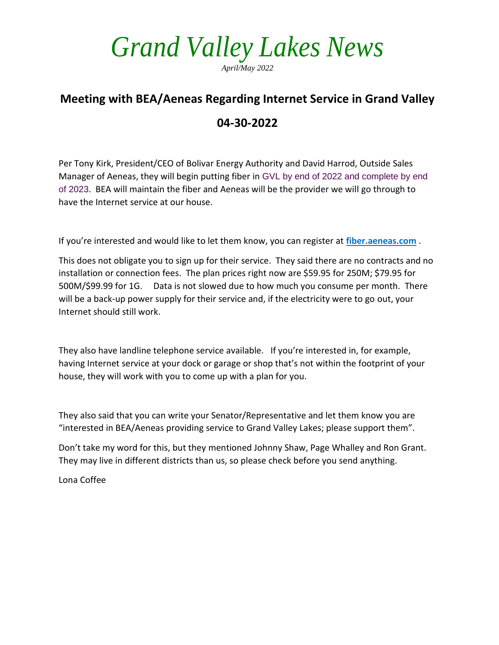*April/May 2022* 

#### **Meeting with BEA/Aeneas Regarding Internet Service in Grand Valley 04-30-2022**

Per Tony Kirk, President/CEO of Bolivar Energy Authority and David Harrod, Outside Sales Manager of Aeneas, they will begin putting fiber in GVL by end of 2022 and complete by end of 2023. BEA will maintain the fiber and Aeneas will be the provider we will go through to have the Internet service at our house.

If you're interested and would like to let them know, you can register at **fiber.aeneas.com** .

This does not obligate you to sign up for their service. They said there are no contracts and no installation or connection fees. The plan prices right now are \$59.95 for 250M; \$79.95 for 500M/\$99.99 for 1G. Data is not slowed due to how much you consume per month. There will be a back-up power supply for their service and, if the electricity were to go out, your Internet should still work.

They also have landline telephone service available. If you're interested in, for example, having Internet service at your dock or garage or shop that's not within the footprint of your house, they will work with you to come up with a plan for you.

They also said that you can write your Senator/Representative and let them know you are "interested in BEA/Aeneas providing service to Grand Valley Lakes; please support them".

Don't take my word for this, but they mentioned Johnny Shaw, Page Whalley and Ron Grant. They may live in different districts than us, so please check before you send anything.

Lona Coffee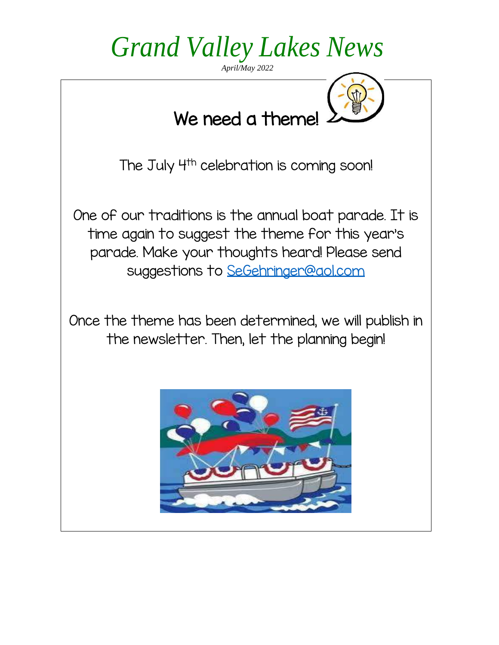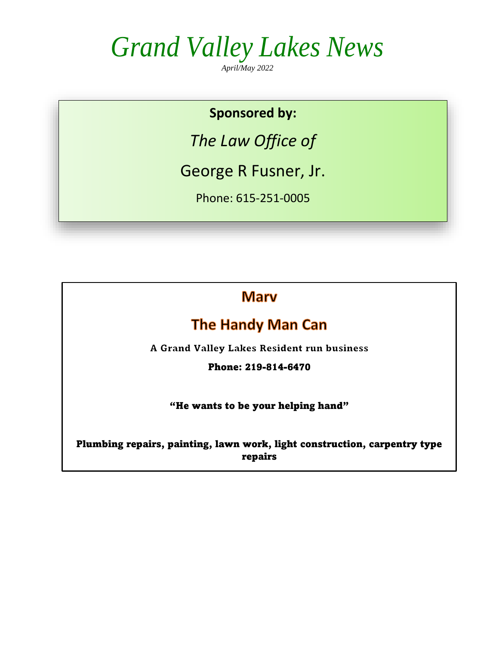*April/May 2022* 

#### **Sponsored by:**

*The Law Office of*

George R Fusner, Jr.

Phone: 615-251-0005

**Mary** 

#### **The Handy Man Can**

A Grand Valley Lakes Resident run business

Phone: 219-814-6470

"He wants to be your helping hand"

Plumbing repairs, painting, lawn work, light construction, carpentry type repairs